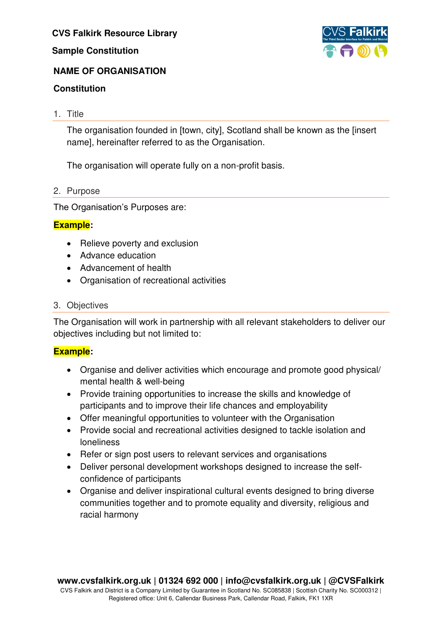# **Sample Constitution**



# **NAME OF ORGANISATION**

# **Constitution**

# 1. Title

The organisation founded in [town, city], Scotland shall be known as the [insert name], hereinafter referred to as the Organisation.

The organisation will operate fully on a non-profit basis.

# 2. Purpose

The Organisation's Purposes are:

# **Example:**

- Relieve poverty and exclusion
- Advance education
- Advancement of health
- Organisation of recreational activities

# 3. Objectives

The Organisation will work in partnership with all relevant stakeholders to deliver our objectives including but not limited to:

# **Example:**

- Organise and deliver activities which encourage and promote good physical/ mental health & well-being
- Provide training opportunities to increase the skills and knowledge of participants and to improve their life chances and employability
- Offer meaningful opportunities to volunteer with the Organisation
- Provide social and recreational activities designed to tackle isolation and loneliness
- Refer or sign post users to relevant services and organisations
- Deliver personal development workshops designed to increase the selfconfidence of participants
- Organise and deliver inspirational cultural events designed to bring diverse communities together and to promote equality and diversity, religious and racial harmony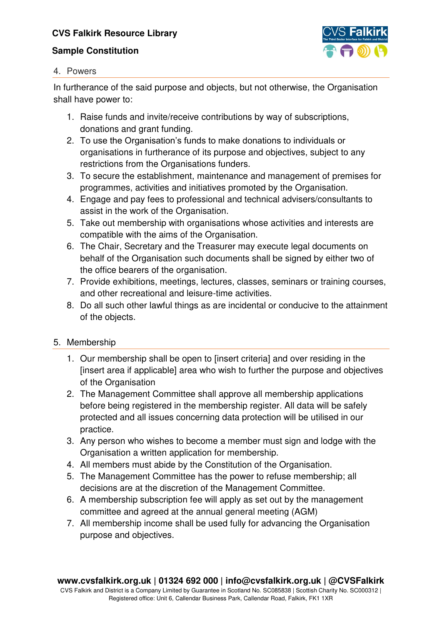# **Sample Constitution**



#### 4. Powers

In furtherance of the said purpose and objects, but not otherwise, the Organisation shall have power to:

- 1. Raise funds and invite/receive contributions by way of subscriptions, donations and grant funding.
- 2. To use the Organisation's funds to make donations to individuals or organisations in furtherance of its purpose and objectives, subject to any restrictions from the Organisations funders.
- 3. To secure the establishment, maintenance and management of premises for programmes, activities and initiatives promoted by the Organisation.
- 4. Engage and pay fees to professional and technical advisers/consultants to assist in the work of the Organisation.
- 5. Take out membership with organisations whose activities and interests are compatible with the aims of the Organisation.
- 6. The Chair, Secretary and the Treasurer may execute legal documents on behalf of the Organisation such documents shall be signed by either two of the office bearers of the organisation.
- 7. Provide exhibitions, meetings, lectures, classes, seminars or training courses, and other recreational and leisure-time activities.
- 8. Do all such other lawful things as are incidental or conducive to the attainment of the objects.

# 5. Membership

- 1. Our membership shall be open to [insert criteria] and over residing in the [insert area if applicable] area who wish to further the purpose and objectives of the Organisation
- 2. The Management Committee shall approve all membership applications before being registered in the membership register. All data will be safely protected and all issues concerning data protection will be utilised in our practice.
- 3. Any person who wishes to become a member must sign and lodge with the Organisation a written application for membership.
- 4. All members must abide by the Constitution of the Organisation.
- 5. The Management Committee has the power to refuse membership; all decisions are at the discretion of the Management Committee.
- 6. A membership subscription fee will apply as set out by the management committee and agreed at the annual general meeting (AGM)
- 7. All membership income shall be used fully for advancing the Organisation purpose and objectives.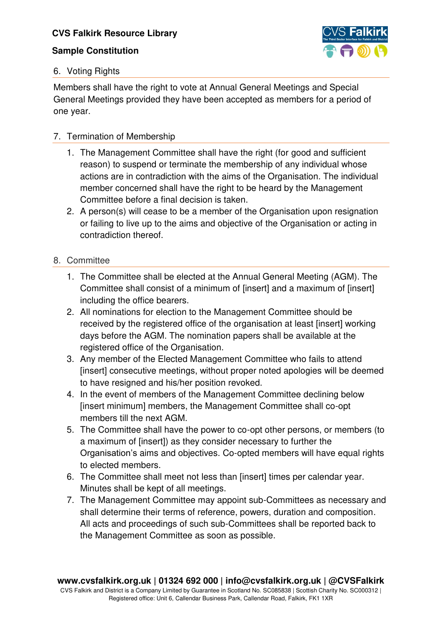### **Sample Constitution**



# 6. Voting Rights

Members shall have the right to vote at Annual General Meetings and Special General Meetings provided they have been accepted as members for a period of one year.

# 7. Termination of Membership

- 1. The Management Committee shall have the right (for good and sufficient reason) to suspend or terminate the membership of any individual whose actions are in contradiction with the aims of the Organisation. The individual member concerned shall have the right to be heard by the Management Committee before a final decision is taken.
- 2. A person(s) will cease to be a member of the Organisation upon resignation or failing to live up to the aims and objective of the Organisation or acting in contradiction thereof.

# 8. Committee

- 1. The Committee shall be elected at the Annual General Meeting (AGM). The Committee shall consist of a minimum of [insert] and a maximum of [insert] including the office bearers.
- 2. All nominations for election to the Management Committee should be received by the registered office of the organisation at least [insert] working days before the AGM. The nomination papers shall be available at the registered office of the Organisation.
- 3. Any member of the Elected Management Committee who fails to attend [insert] consecutive meetings, without proper noted apologies will be deemed to have resigned and his/her position revoked.
- 4. In the event of members of the Management Committee declining below [insert minimum] members, the Management Committee shall co-opt members till the next AGM.
- 5. The Committee shall have the power to co-opt other persons, or members (to a maximum of [insert]) as they consider necessary to further the Organisation's aims and objectives. Co-opted members will have equal rights to elected members.
- 6. The Committee shall meet not less than [insert] times per calendar year. Minutes shall be kept of all meetings.
- 7. The Management Committee may appoint sub-Committees as necessary and shall determine their terms of reference, powers, duration and composition. All acts and proceedings of such sub-Committees shall be reported back to the Management Committee as soon as possible.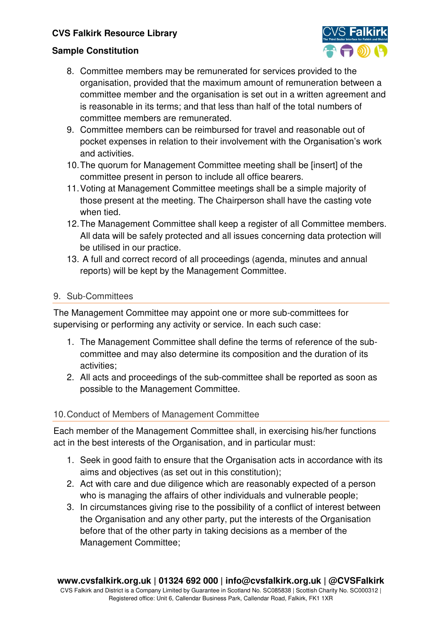

### **Sample Constitution**

- 8. Committee members may be remunerated for services provided to the organisation, provided that the maximum amount of remuneration between a committee member and the organisation is set out in a written agreement and is reasonable in its terms; and that less than half of the total numbers of committee members are remunerated.
- 9. Committee members can be reimbursed for travel and reasonable out of pocket expenses in relation to their involvement with the Organisation's work and activities.
- 10. The quorum for Management Committee meeting shall be [insert] of the committee present in person to include all office bearers.
- 11. Voting at Management Committee meetings shall be a simple majority of those present at the meeting. The Chairperson shall have the casting vote when tied.
- 12. The Management Committee shall keep a register of all Committee members. All data will be safely protected and all issues concerning data protection will be utilised in our practice.
- 13. A full and correct record of all proceedings (agenda, minutes and annual reports) will be kept by the Management Committee.

# 9. Sub-Committees

The Management Committee may appoint one or more sub-committees for supervising or performing any activity or service. In each such case:

- 1. The Management Committee shall define the terms of reference of the subcommittee and may also determine its composition and the duration of its activities;
- 2. All acts and proceedings of the sub-committee shall be reported as soon as possible to the Management Committee.

### 10. Conduct of Members of Management Committee

Each member of the Management Committee shall, in exercising his/her functions act in the best interests of the Organisation, and in particular must:

- 1. Seek in good faith to ensure that the Organisation acts in accordance with its aims and objectives (as set out in this constitution);
- 2. Act with care and due diligence which are reasonably expected of a person who is managing the affairs of other individuals and vulnerable people;
- 3. In circumstances giving rise to the possibility of a conflict of interest between the Organisation and any other party, put the interests of the Organisation before that of the other party in taking decisions as a member of the Management Committee;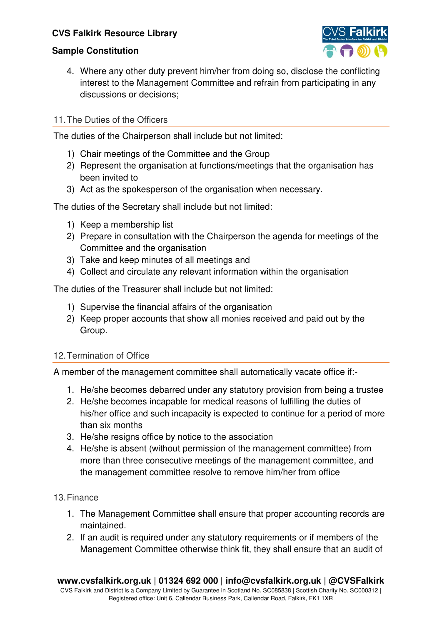

### **Sample Constitution**

4. Where any other duty prevent him/her from doing so, disclose the conflicting interest to the Management Committee and refrain from participating in any discussions or decisions;

#### 11. The Duties of the Officers

The duties of the Chairperson shall include but not limited:

- 1) Chair meetings of the Committee and the Group
- 2) Represent the organisation at functions/meetings that the organisation has been invited to
- 3) Act as the spokesperson of the organisation when necessary.

The duties of the Secretary shall include but not limited:

- 1) Keep a membership list
- 2) Prepare in consultation with the Chairperson the agenda for meetings of the Committee and the organisation
- 3) Take and keep minutes of all meetings and
- 4) Collect and circulate any relevant information within the organisation

The duties of the Treasurer shall include but not limited:

- 1) Supervise the financial affairs of the organisation
- 2) Keep proper accounts that show all monies received and paid out by the Group.

#### 12. Termination of Office

A member of the management committee shall automatically vacate office if:-

- 1. He/she becomes debarred under any statutory provision from being a trustee
- 2. He/she becomes incapable for medical reasons of fulfilling the duties of his/her office and such incapacity is expected to continue for a period of more than six months
- 3. He/she resigns office by notice to the association
- 4. He/she is absent (without permission of the management committee) from more than three consecutive meetings of the management committee, and the management committee resolve to remove him/her from office

#### 13. Finance

- 1. The Management Committee shall ensure that proper accounting records are maintained.
- 2. If an audit is required under any statutory requirements or if members of the Management Committee otherwise think fit, they shall ensure that an audit of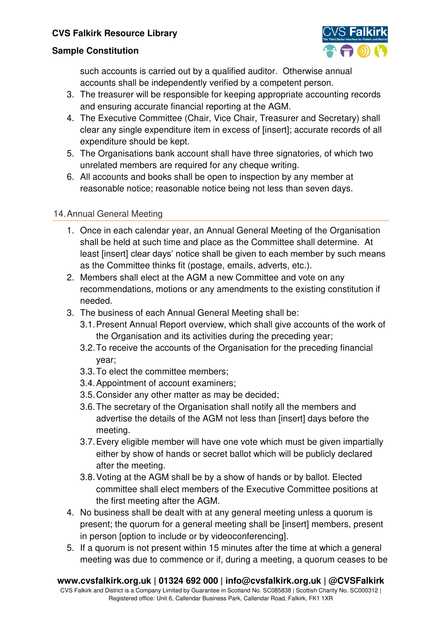



such accounts is carried out by a qualified auditor. Otherwise annual accounts shall be independently verified by a competent person.

- 3. The treasurer will be responsible for keeping appropriate accounting records and ensuring accurate financial reporting at the AGM.
- 4. The Executive Committee (Chair, Vice Chair, Treasurer and Secretary) shall clear any single expenditure item in excess of [insert]; accurate records of all expenditure should be kept.
- 5. The Organisations bank account shall have three signatories, of which two unrelated members are required for any cheque writing.
- 6. All accounts and books shall be open to inspection by any member at reasonable notice; reasonable notice being not less than seven days.

# 14. Annual General Meeting

- 1. Once in each calendar year, an Annual General Meeting of the Organisation shall be held at such time and place as the Committee shall determine. At least [insert] clear days' notice shall be given to each member by such means as the Committee thinks fit (postage, emails, adverts, etc.).
- 2. Members shall elect at the AGM a new Committee and vote on any recommendations, motions or any amendments to the existing constitution if needed.
- 3. The business of each Annual General Meeting shall be:
	- 3.1. Present Annual Report overview, which shall give accounts of the work of the Organisation and its activities during the preceding year;
	- 3.2. To receive the accounts of the Organisation for the preceding financial year;
	- 3.3. To elect the committee members;
	- 3.4. Appointment of account examiners;
	- 3.5. Consider any other matter as may be decided;
	- 3.6. The secretary of the Organisation shall notify all the members and advertise the details of the AGM not less than [insert] days before the meeting.
	- 3.7. Every eligible member will have one vote which must be given impartially either by show of hands or secret ballot which will be publicly declared after the meeting.
	- 3.8. Voting at the AGM shall be by a show of hands or by ballot. Elected committee shall elect members of the Executive Committee positions at the first meeting after the AGM.
- 4. No business shall be dealt with at any general meeting unless a quorum is present; the quorum for a general meeting shall be [insert] members, present in person [option to include or by videoconferencing].
- 5. If a quorum is not present within 15 minutes after the time at which a general meeting was due to commence or if, during a meeting, a quorum ceases to be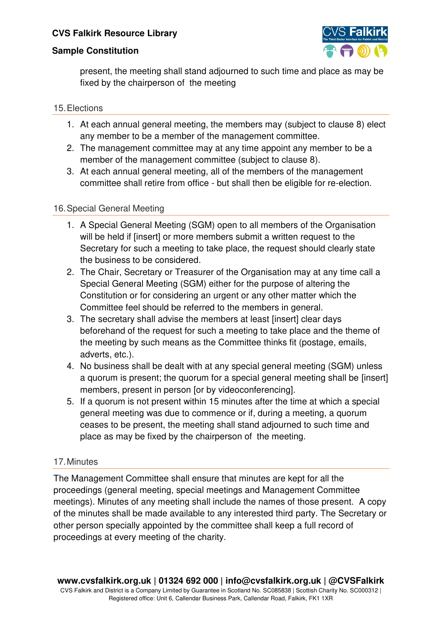

#### **Sample Constitution**

present, the meeting shall stand adjourned to such time and place as may be fixed by the chairperson of the meeting

#### 15. Elections

- 1. At each annual general meeting, the members may (subject to clause 8) elect any member to be a member of the management committee.
- 2. The management committee may at any time appoint any member to be a member of the management committee (subject to clause 8).
- 3. At each annual general meeting, all of the members of the management committee shall retire from office - but shall then be eligible for re-election.

#### 16. Special General Meeting

- 1. A Special General Meeting (SGM) open to all members of the Organisation will be held if [insert] or more members submit a written request to the Secretary for such a meeting to take place, the request should clearly state the business to be considered.
- 2. The Chair, Secretary or Treasurer of the Organisation may at any time call a Special General Meeting (SGM) either for the purpose of altering the Constitution or for considering an urgent or any other matter which the Committee feel should be referred to the members in general.
- 3. The secretary shall advise the members at least [insert] clear days beforehand of the request for such a meeting to take place and the theme of the meeting by such means as the Committee thinks fit (postage, emails, adverts, etc.).
- 4. No business shall be dealt with at any special general meeting (SGM) unless a quorum is present; the quorum for a special general meeting shall be linsertl members, present in person [or by videoconferencing].
- 5. If a quorum is not present within 15 minutes after the time at which a special general meeting was due to commence or if, during a meeting, a quorum ceases to be present, the meeting shall stand adjourned to such time and place as may be fixed by the chairperson of the meeting.

### 17. Minutes

The Management Committee shall ensure that minutes are kept for all the proceedings (general meeting, special meetings and Management Committee meetings). Minutes of any meeting shall include the names of those present. A copy of the minutes shall be made available to any interested third party. The Secretary or other person specially appointed by the committee shall keep a full record of proceedings at every meeting of the charity.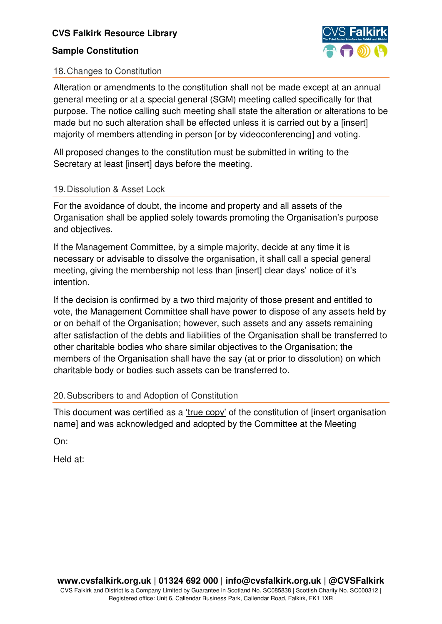# **Sample Constitution**



# 18. Changes to Constitution

Alteration or amendments to the constitution shall not be made except at an annual general meeting or at a special general (SGM) meeting called specifically for that purpose. The notice calling such meeting shall state the alteration or alterations to be made but no such alteration shall be effected unless it is carried out by a [insert] majority of members attending in person [or by videoconferencing] and voting.

All proposed changes to the constitution must be submitted in writing to the Secretary at least [insert] days before the meeting.

# 19. Dissolution & Asset Lock

For the avoidance of doubt, the income and property and all assets of the Organisation shall be applied solely towards promoting the Organisation's purpose and objectives.

If the Management Committee, by a simple majority, decide at any time it is necessary or advisable to dissolve the organisation, it shall call a special general meeting, giving the membership not less than [insert] clear days' notice of it's intention.

If the decision is confirmed by a two third majority of those present and entitled to vote, the Management Committee shall have power to dispose of any assets held by or on behalf of the Organisation; however, such assets and any assets remaining after satisfaction of the debts and liabilities of the Organisation shall be transferred to other charitable bodies who share similar objectives to the Organisation; the members of the Organisation shall have the say (at or prior to dissolution) on which charitable body or bodies such assets can be transferred to.

### 20. Subscribers to and Adoption of Constitution

This document was certified as a 'true copy' of the constitution of [insert organisation name] and was acknowledged and adopted by the Committee at the Meeting

On:

Held at: